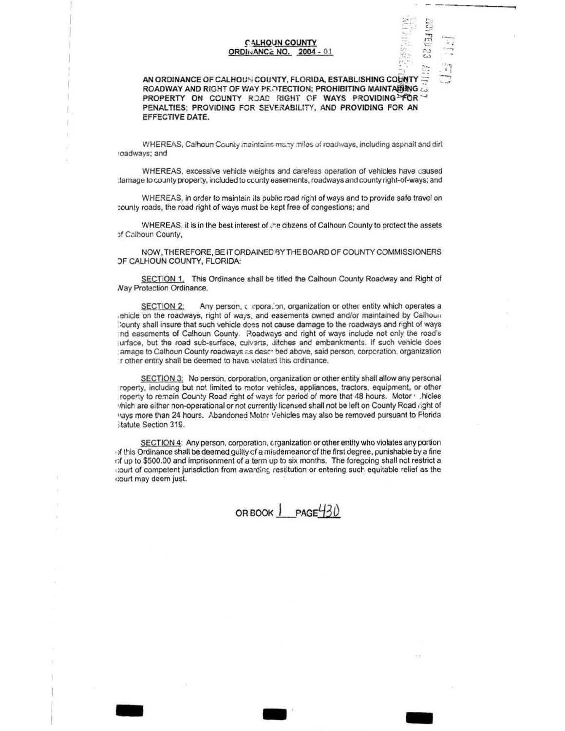## **CALHOUN COUNTY ORDINANCE NO. 2004 - 01**

FEB 23

 $\ddot{ }$ 

AN ORDINANCE OF CALHOUN COUNTY, FLORIDA, ESTABLISHING COUNTY ROADWAY AND RIGHT OF WAY PROTECTION; PROHIBITING MAINTARING PROPERTY ON COUNTY ROAD RIGHT OF WAYS PROVIDING FOR PENALTIES; PROVIDING FOR SEVERABILITY, AND PROVIDING FOR AN EFFECTIVE DATE.

WHEREAS, Calhoun County maintains many miles of roadways, including aspnalt and dirt roadways; and

WHEREAS, excessive vehicle weights and careless operation of vehicles have caused : lamage to county property, included to county easements, roadways and county right-of-ways; and

WHEREAS, in order to maintain its public road right of ways and to provide safe travel on county roads, the road right of ways must be kept free of congestions; and

WHEREAS, it is in the best interest of the citizens of Calhoun County to protect the assets of Calhoun County,

NOW, THEREFORE, BE IT ORDAINED BY THE BOARD OF COUNTY COMMISSIONERS *DF CALHOUN COUNTY, FLORIDA:* 

SECTION 1. This Ordinance shall be titled the Calhoun County Roadway and Right of **Nay Protection Ordinance.** 

Any person, corporalion, organization or other entity which operates a **SECTION 2:** ehicle on the roadways, right of ways, and easements owned and/or maintained by Calhoun County shall insure that such vehicle does not cause damage to the roadways and right of ways Ind easements of Calhoun County. Roadways and right of ways include not only the road's jurface, but the road sub-surface, culverts, ditches and embankments. If such vehicle does amage to Calhoun County roadways as described above, said person, corporation, organization r other entity shall be deemed to have violated this ordinance.

SECTION 3: No person, corporation, organization or other entity shall allow any personal roperty, including but not limited to motor vehicles, appliances, tractors, equipment, or other roperty to remain County Road right of ways for period of more that 48 hours. Motor victies thich are either non-operational or not currently licensed shall not be left on County Road right of vays more than 24 hours. Abandoned Motor Vehicles may also be removed pursuant to Florida **Itatute Section 319.** 

SECTION 4: Any person, corporation, crganization or other entity who violates any portion of this Ordinance shall be deemed guilty of a misdemeanor of the first degree, punishable by a fine of up to \$500.00 and imprisonment of a term up to six months. The foregoing shall not restrict a court of competent jurisdiction from awarding restitution or entering such equitable relief as the court may deem just.

OR BOOK | PAGE430